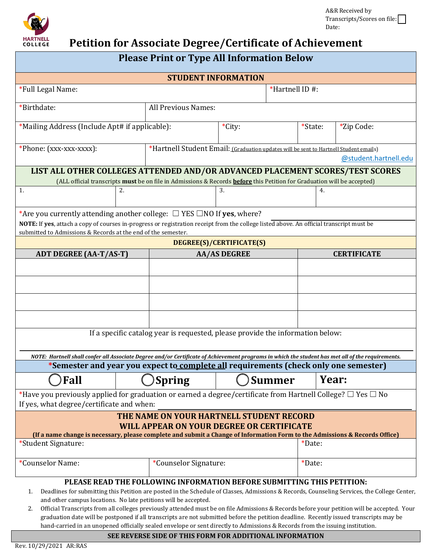

# **Petition for Associate Degree/Certificate of Achievement**

| <b>STUDENT INFORMATION</b>                                                                                                                                                                                                                                                                                                                                                                                                                                                                                                                                                                                                                                                                                                       |                     |                                                                                                                |  |               |         |                    |
|----------------------------------------------------------------------------------------------------------------------------------------------------------------------------------------------------------------------------------------------------------------------------------------------------------------------------------------------------------------------------------------------------------------------------------------------------------------------------------------------------------------------------------------------------------------------------------------------------------------------------------------------------------------------------------------------------------------------------------|---------------------|----------------------------------------------------------------------------------------------------------------|--|---------------|---------|--------------------|
| *Full Legal Name:                                                                                                                                                                                                                                                                                                                                                                                                                                                                                                                                                                                                                                                                                                                |                     | *Hartnell ID#:                                                                                                 |  |               |         |                    |
| *Birthdate:                                                                                                                                                                                                                                                                                                                                                                                                                                                                                                                                                                                                                                                                                                                      |                     |                                                                                                                |  |               |         |                    |
| *Mailing Address (Include Apt# if applicable):                                                                                                                                                                                                                                                                                                                                                                                                                                                                                                                                                                                                                                                                                   |                     | *City:                                                                                                         |  |               | *State: | *Zip Code:         |
| *Phone: (xxx-xxx-xxxx):                                                                                                                                                                                                                                                                                                                                                                                                                                                                                                                                                                                                                                                                                                          |                     | *Hartnell Student Email: (Graduation updates will be sent to Hartnell Student emails)<br>@student.hartnell.edu |  |               |         |                    |
| LIST ALL OTHER COLLEGES ATTENDED AND/OR ADVANCED PLACEMENT SCORES/TEST SCORES<br>(ALL official transcripts must be on file in Admissions & Records before this Petition for Graduation will be accepted)                                                                                                                                                                                                                                                                                                                                                                                                                                                                                                                         |                     |                                                                                                                |  |               |         |                    |
| 1.                                                                                                                                                                                                                                                                                                                                                                                                                                                                                                                                                                                                                                                                                                                               |                     | 3.                                                                                                             |  | 4.            |         |                    |
|                                                                                                                                                                                                                                                                                                                                                                                                                                                                                                                                                                                                                                                                                                                                  | 2.                  |                                                                                                                |  |               |         |                    |
| *Are you currently attending another college: $\Box$ YES $\Box$ NO If yes, where?                                                                                                                                                                                                                                                                                                                                                                                                                                                                                                                                                                                                                                                |                     |                                                                                                                |  |               |         |                    |
| NOTE: If yes, attach a copy of courses in-progress or registration receipt from the college listed above. An official transcript must be<br>submitted to Admissions & Records at the end of the semester.                                                                                                                                                                                                                                                                                                                                                                                                                                                                                                                        |                     |                                                                                                                |  |               |         |                    |
| DEGREE(S)/CERTIFICATE(S)                                                                                                                                                                                                                                                                                                                                                                                                                                                                                                                                                                                                                                                                                                         |                     |                                                                                                                |  |               |         |                    |
| <b>ADT DEGREE (AA-T/AS-T)</b>                                                                                                                                                                                                                                                                                                                                                                                                                                                                                                                                                                                                                                                                                                    | <b>AA/AS DEGREE</b> |                                                                                                                |  |               |         | <b>CERTIFICATE</b> |
|                                                                                                                                                                                                                                                                                                                                                                                                                                                                                                                                                                                                                                                                                                                                  |                     |                                                                                                                |  |               |         |                    |
|                                                                                                                                                                                                                                                                                                                                                                                                                                                                                                                                                                                                                                                                                                                                  |                     |                                                                                                                |  |               |         |                    |
|                                                                                                                                                                                                                                                                                                                                                                                                                                                                                                                                                                                                                                                                                                                                  |                     |                                                                                                                |  |               |         |                    |
|                                                                                                                                                                                                                                                                                                                                                                                                                                                                                                                                                                                                                                                                                                                                  |                     |                                                                                                                |  |               |         |                    |
|                                                                                                                                                                                                                                                                                                                                                                                                                                                                                                                                                                                                                                                                                                                                  |                     |                                                                                                                |  |               |         |                    |
| If a specific catalog year is requested, please provide the information below:                                                                                                                                                                                                                                                                                                                                                                                                                                                                                                                                                                                                                                                   |                     |                                                                                                                |  |               |         |                    |
| NOTE: Hartnell shall confer all Associate Degree and/or Certificate of Achievement programs in which the student has met all of the requirements.                                                                                                                                                                                                                                                                                                                                                                                                                                                                                                                                                                                |                     |                                                                                                                |  |               |         |                    |
| *Semester and year you expect to complete all requirements (check only one semester)                                                                                                                                                                                                                                                                                                                                                                                                                                                                                                                                                                                                                                             |                     |                                                                                                                |  |               |         |                    |
| Fall                                                                                                                                                                                                                                                                                                                                                                                                                                                                                                                                                                                                                                                                                                                             |                     | <b>Spring</b>                                                                                                  |  | <b>Summer</b> | Year:   |                    |
| *Have you previously applied for graduation or earned a degree/certificate from Hartnell College? $\Box$ Yes $\Box$ No<br>If yes, what degree/certificate and when:                                                                                                                                                                                                                                                                                                                                                                                                                                                                                                                                                              |                     |                                                                                                                |  |               |         |                    |
| THE NAME ON YOUR HARTNELL STUDENT RECORD                                                                                                                                                                                                                                                                                                                                                                                                                                                                                                                                                                                                                                                                                         |                     |                                                                                                                |  |               |         |                    |
| <b>WILL APPEAR ON YOUR DEGREE OR CERTIFICATE</b><br>(If a name change is necessary, please complete and submit a Change of Information Form to the Admissions & Records Office)                                                                                                                                                                                                                                                                                                                                                                                                                                                                                                                                                  |                     |                                                                                                                |  |               |         |                    |
| *Student Signature:                                                                                                                                                                                                                                                                                                                                                                                                                                                                                                                                                                                                                                                                                                              |                     |                                                                                                                |  |               | *Date:  |                    |
|                                                                                                                                                                                                                                                                                                                                                                                                                                                                                                                                                                                                                                                                                                                                  |                     |                                                                                                                |  |               |         |                    |
| *Counselor Name:                                                                                                                                                                                                                                                                                                                                                                                                                                                                                                                                                                                                                                                                                                                 |                     | *Counselor Signature:                                                                                          |  |               | *Date:  |                    |
| PLEASE READ THE FOLLOWING INFORMATION BEFORE SUBMITTING THIS PETITION:<br>Deadlines for submitting this Petition are posted in the Schedule of Classes, Admissions & Records, Counseling Services, the College Center,<br>1.<br>and other campus locations. No late petitions will be accepted.<br>Official Transcripts from all colleges previously attended must be on file Admissions & Records before your petition will be accepted. Your<br>2.<br>graduation date will be postponed if all transcripts are not submitted before the petition deadline. Recently issued transcripts may be<br>hand-carried in an unopened officially sealed envelope or sent directly to Admissions & Records from the issuing institution. |                     |                                                                                                                |  |               |         |                    |